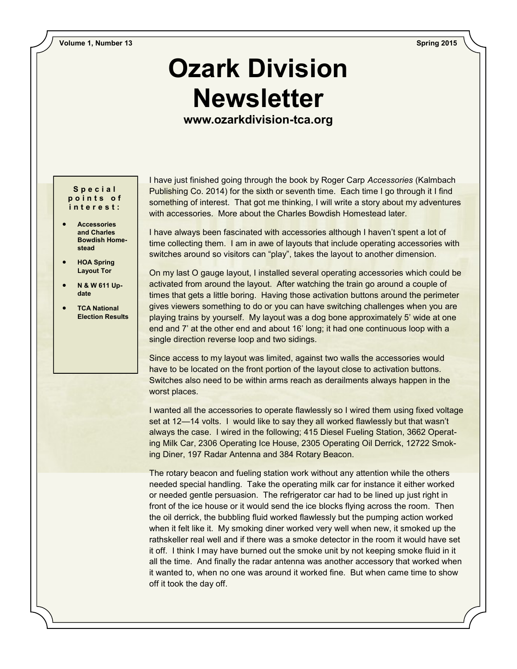## **Ozark Division Newsletter**

**www.ozarkdivision-tca.org**

**S p e c i a l p o i n t s o f i n t e r e s t :**

- **Accessories and Charles Bowdish Homestead**
- **HOA Spring Layout Tor**
- **N & W 611 Update**
- **TCA National Election Results**

I have just finished going through the book by Roger Carp *Accessories* (Kalmbach Publishing Co. 2014) for the sixth or seventh time. Each time I go through it I find something of interest. That got me thinking, I will write a story about my adventures with accessories. More about the Charles Bowdish Homestead later.

I have always been fascinated with accessories although I haven't spent a lot of time collecting them. I am in awe of layouts that include operating accessories with switches around so visitors can "play", takes the layout to another dimension.

On my last O gauge layout, I installed several operating accessories which could be activated from around the layout. After watching the train go around a couple of times that gets a little boring. Having those activation buttons around the perimeter gives viewers something to do or you can have switching challenges when you are playing trains by yourself. My layout was a dog bone approximately 5' wide at one end and 7' at the other end and about 16' long; it had one continuous loop with a single direction reverse loop and two sidings.

Since access to my layout was limited, against two walls the accessories would have to be located on the front portion of the layout close to activation buttons. Switches also need to be within arms reach as derailments always happen in the worst places.

I wanted all the accessories to operate flawlessly so I wired them using fixed voltage set at 12—14 volts. I would like to say they all worked flawlessly but that wasn't always the case. I wired in the following; 415 Diesel Fueling Station, 3662 Operating Milk Car, 2306 Operating Ice House, 2305 Operating Oil Derrick, 12722 Smoking Diner, 197 Radar Antenna and 384 Rotary Beacon.

The rotary beacon and fueling station work without any attention while the others needed special handling. Take the operating milk car for instance it either worked or needed gentle persuasion. The refrigerator car had to be lined up just right in front of the ice house or it would send the ice blocks flying across the room. Then the oil derrick, the bubbling fluid worked flawlessly but the pumping action worked when it felt like it. My smoking diner worked very well when new, it smoked up the rathskeller real well and if there was a smoke detector in the room it would have set it off. I think I may have burned out the smoke unit by not keeping smoke fluid in it all the time. And finally the radar antenna was another accessory that worked when it wanted to, when no one was around it worked fine. But when came time to show off it took the day off.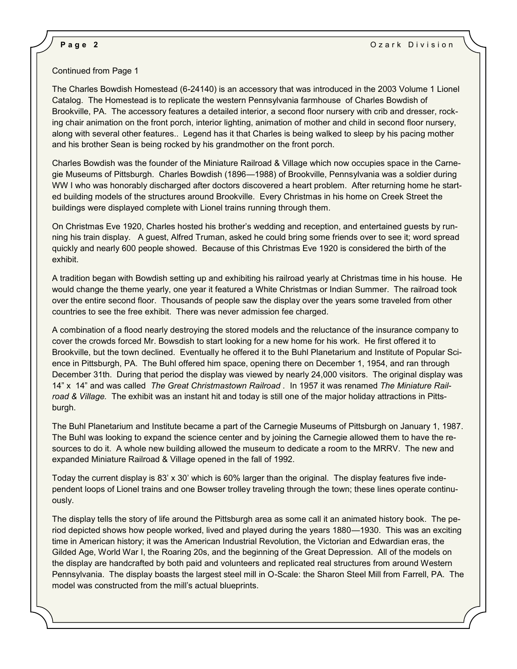## Continued from Page 1

 The Charles Bowdish Homestead (6-24140) is an accessory that was introduced in the 2003 Volume 1 Lionel Catalog. The Homestead is to replicate the western Pennsylvania farmhouse of Charles Bowdish of Brookville, PA. The accessory features a detailed interior, a second floor nursery with crib and dresser, rocking chair animation on the front porch, interior lighting, animation of mother and child in second floor nursery, along with several other features.. Legend has it that Charles is being walked to sleep by his pacing mother and his brother Sean is being rocked by his grandmother on the front porch.

Charles Bowdish was the founder of the Miniature Railroad & Village which now occupies space in the Carnegie Museums of Pittsburgh. Charles Bowdish (1896—1988) of Brookville, Pennsylvania was a soldier during WW I who was honorably discharged after doctors discovered a heart problem. After returning home he started building models of the structures around Brookville. Every Christmas in his home on Creek Street the buildings were displayed complete with Lionel trains running through them.

On Christmas Eve 1920, Charles hosted his brother's wedding and reception, and entertained guests by running his train display. A guest, Alfred Truman, asked he could bring some friends over to see it; word spread quickly and nearly 600 people showed. Because of this Christmas Eve 1920 is considered the birth of the exhibit.

A tradition began with Bowdish setting up and exhibiting his railroad yearly at Christmas time in his house. He would change the theme yearly, one year it featured a White Christmas or Indian Summer. The railroad took over the entire second floor. Thousands of people saw the display over the years some traveled from other countries to see the free exhibit. There was never admission fee charged.

A combination of a flood nearly destroying the stored models and the reluctance of the insurance company to cover the crowds forced Mr. Bowsdish to start looking for a new home for his work. He first offered it to Brookville, but the town declined. Eventually he offered it to the Buhl Planetarium and Institute of Popular Science in Pittsburgh, PA. The Buhl offered him space, opening there on December 1, 1954, and ran through December 31th. During that period the display was viewed by nearly 24,000 visitors. The original display was 14" x 14" and was called *The Great Christmastown Railroad .* In 1957 it was renamed *The Miniature Railroad & Village.* The exhibit was an instant hit and today is still one of the major holiday attractions in Pittsburgh.

The Buhl Planetarium and Institute became a part of the Carnegie Museums of Pittsburgh on January 1, 1987. The Buhl was looking to expand the science center and by joining the Carnegie allowed them to have the resources to do it. A whole new building allowed the museum to dedicate a room to the MRRV. The new and expanded Miniature Railroad & Village opened in the fall of 1992.

Today the current display is 83' x 30' which is 60% larger than the original. The display features five independent loops of Lionel trains and one Bowser trolley traveling through the town; these lines operate continuously.

The display tells the story of life around the Pittsburgh area as some call it an animated history book. The period depicted shows how people worked, lived and played during the years 1880—1930. This was an exciting time in American history; it was the American Industrial Revolution, the Victorian and Edwardian eras, the Gilded Age, World War I, the Roaring 20s, and the beginning of the Great Depression. All of the models on the display are handcrafted by both paid and volunteers and replicated real structures from around Western Pennsylvania. The display boasts the largest steel mill in O-Scale: the Sharon Steel Mill from Farrell, PA. The model was constructed from the mill's actual blueprints.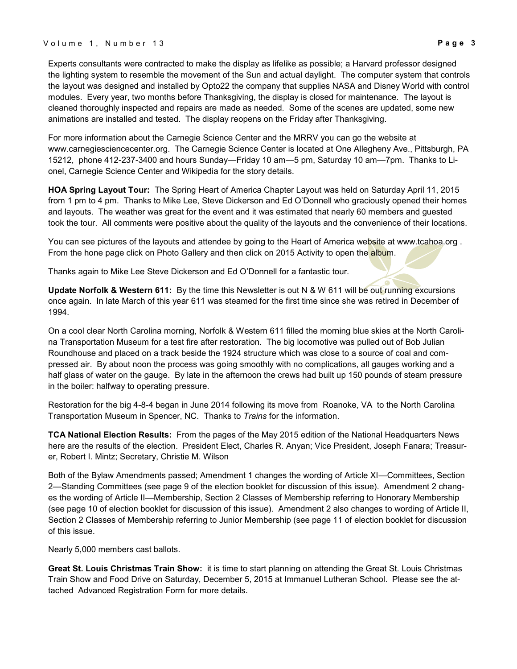Experts consultants were contracted to make the display as lifelike as possible; a Harvard professor designed the lighting system to resemble the movement of the Sun and actual daylight. The computer system that controls the layout was designed and installed by Opto22 the company that supplies NASA and Disney World with control modules. Every year, two months before Thanksgiving, the display is closed for maintenance. The layout is cleaned thoroughly inspected and repairs are made as needed. Some of the scenes are updated, some new animations are installed and tested. The display reopens on the Friday after Thanksgiving.

For more information about the Carnegie Science Center and the MRRV you can go the website at www.carnegiesciencecenter.org. The Carnegie Science Center is located at One Allegheny Ave., Pittsburgh, PA 15212, phone 412-237-3400 and hours Sunday—Friday 10 am—5 pm, Saturday 10 am—7pm. Thanks to Lionel, Carnegie Science Center and Wikipedia for the story details.

**HOA Spring Layout Tour:** The Spring Heart of America Chapter Layout was held on Saturday April 11, 2015 from 1 pm to 4 pm. Thanks to Mike Lee, Steve Dickerson and Ed O'Donnell who graciously opened their homes and layouts. The weather was great for the event and it was estimated that nearly 60 members and guested took the tour. All comments were positive about the quality of the layouts and the convenience of their locations.

You can see pictures of the layouts and attendee by going to the Heart of America website at www.tcahoa.org. From the hone page click on Photo Gallery and then click on 2015 Activity to open the album.

Thanks again to Mike Lee Steve Dickerson and Ed O'Donnell for a fantastic tour.

**Update Norfolk & Western 611:** By the time this Newsletter is out N & W 611 will be out running excursions once again. In late March of this year 611 was steamed for the first time since she was retired in December of 1994.

On a cool clear North Carolina morning, Norfolk & Western 611 filled the morning blue skies at the North Carolina Transportation Museum for a test fire after restoration. The big locomotive was pulled out of Bob Julian Roundhouse and placed on a track beside the 1924 structure which was close to a source of coal and compressed air. By about noon the process was going smoothly with no complications, all gauges working and a half glass of water on the gauge. By late in the afternoon the crews had built up 150 pounds of steam pressure in the boiler: halfway to operating pressure.

Restoration for the big 4-8-4 began in June 2014 following its move from Roanoke, VA to the North Carolina Transportation Museum in Spencer, NC. Thanks to *Trains* for the information.

**TCA National Election Results:** From the pages of the May 2015 edition of the National Headquarters News here are the results of the election. President Elect, Charles R. Anyan; Vice President, Joseph Fanara; Treasurer, Robert I. Mintz; Secretary, Christie M. Wilson

Both of the Bylaw Amendments passed; Amendment 1 changes the wording of Article XI—Committees, Section 2—Standing Committees (see page 9 of the election booklet for discussion of this issue). Amendment 2 changes the wording of Article II—Membership, Section 2 Classes of Membership referring to Honorary Membership (see page 10 of election booklet for discussion of this issue). Amendment 2 also changes to wording of Article II, Section 2 Classes of Membership referring to Junior Membership (see page 11 of election booklet for discussion of this issue.

Nearly 5,000 members cast ballots.

**Great St. Louis Christmas Train Show:** it is time to start planning on attending the Great St. Louis Christmas Train Show and Food Drive on Saturday, December 5, 2015 at Immanuel Lutheran School. Please see the attached Advanced Registration Form for more details.